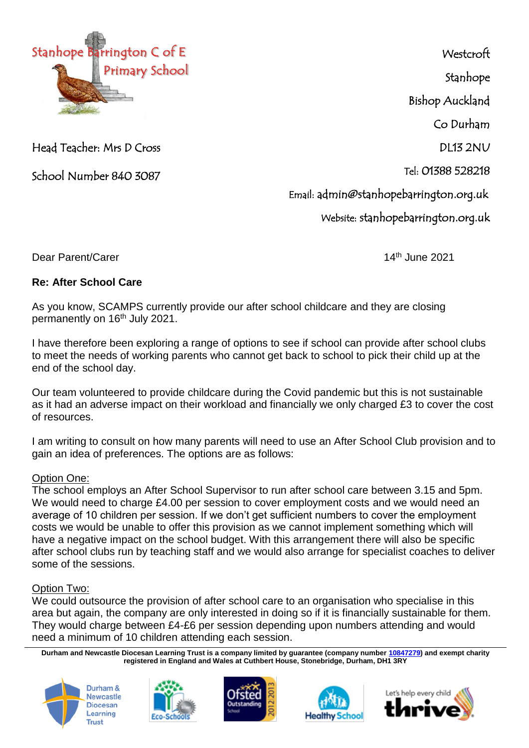

Head Teacher: Mrs D Cross

School Number 840 3087

**Westcroft** Stanhope Bishop Auckland Co Durham DL13 2NU Tel: 01388 528218 Email: admin@stanhopebarrington.org.uk Website: stanhopebarrington.org.uk

Dear Parent/Carer 14th June 2021

## **Re: After School Care**

As you know, SCAMPS currently provide our after school childcare and they are closing permanently on 16<sup>th</sup> July 2021.

I have therefore been exploring a range of options to see if school can provide after school clubs to meet the needs of working parents who cannot get back to school to pick their child up at the end of the school day.

Our team volunteered to provide childcare during the Covid pandemic but this is not sustainable as it had an adverse impact on their workload and financially we only charged £3 to cover the cost of resources.

I am writing to consult on how many parents will need to use an After School Club provision and to gain an idea of preferences. The options are as follows:

## Option One:

The school employs an After School Supervisor to run after school care between 3.15 and 5pm. We would need to charge £4.00 per session to cover employment costs and we would need an average of 10 children per session. If we don't get sufficient numbers to cover the employment costs we would be unable to offer this provision as we cannot implement something which will have a negative impact on the school budget. With this arrangement there will also be specific after school clubs run by teaching staff and we would also arrange for specialist coaches to deliver some of the sessions.

## Option Two:

We could outsource the provision of after school care to an organisation who specialise in this area but again, the company are only interested in doing so if it is financially sustainable for them. They would charge between £4-£6 per session depending upon numbers attending and would need a minimum of 10 children attending each session.

**Durham and Newcastle Diocesan Learning Trust is a company limited by guarantee (company number [10847279\)](tel:10847279) and exempt charity registered in England and Wales at Cuthbert House, Stonebridge, Durham, DH1 3RY**